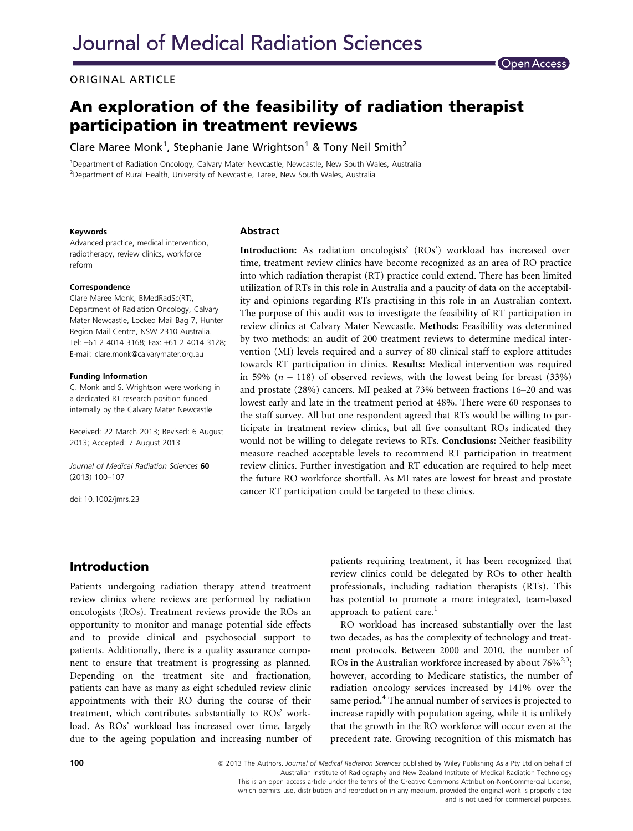#### ORIGINAL ARTICLE

# An exploration of the feasibility of radiation therapist participation in treatment reviews

Clare Maree Monk<sup>1</sup>, Stephanie Jane Wrightson<sup>1</sup> & Tony Neil Smith<sup>2</sup>

<sup>1</sup>Department of Radiation Oncology, Calvary Mater Newcastle, Newcastle, New South Wales, Australia <sup>2</sup>Department of Rural Health, University of Newcastle, Taree, New South Wales, Australia

#### Keywords

Advanced practice, medical intervention, radiotherapy, review clinics, workforce reform

#### Correspondence

Clare Maree Monk, BMedRadSc(RT), Department of Radiation Oncology, Calvary Mater Newcastle, Locked Mail Bag 7, Hunter Region Mail Centre, NSW 2310 Australia. Tel: +61 2 4014 3168; Fax: +61 2 4014 3128; E-mail: clare.monk@calvarymater.org.au

#### Funding Information

C. Monk and S. Wrightson were working in a dedicated RT research position funded internally by the Calvary Mater Newcastle

Received: 22 March 2013; Revised: 6 August 2013; Accepted: 7 August 2013

Journal of Medical Radiation Sciences 60 (2013) 100–107

doi: 10.1002/jmrs.23

#### Abstract

Introduction: As radiation oncologists' (ROs') workload has increased over time, treatment review clinics have become recognized as an area of RO practice into which radiation therapist (RT) practice could extend. There has been limited utilization of RTs in this role in Australia and a paucity of data on the acceptability and opinions regarding RTs practising in this role in an Australian context. The purpose of this audit was to investigate the feasibility of RT participation in review clinics at Calvary Mater Newcastle. Methods: Feasibility was determined by two methods: an audit of 200 treatment reviews to determine medical intervention (MI) levels required and a survey of 80 clinical staff to explore attitudes towards RT participation in clinics. Results: Medical intervention was required in 59% ( $n = 118$ ) of observed reviews, with the lowest being for breast (33%) and prostate (28%) cancers. MI peaked at 73% between fractions 16–20 and was lowest early and late in the treatment period at 48%. There were 60 responses to the staff survey. All but one respondent agreed that RTs would be willing to participate in treatment review clinics, but all five consultant ROs indicated they would not be willing to delegate reviews to RTs. Conclusions: Neither feasibility measure reached acceptable levels to recommend RT participation in treatment review clinics. Further investigation and RT education are required to help meet the future RO workforce shortfall. As MI rates are lowest for breast and prostate cancer RT participation could be targeted to these clinics.

### Introduction

Patients undergoing radiation therapy attend treatment review clinics where reviews are performed by radiation oncologists (ROs). Treatment reviews provide the ROs an opportunity to monitor and manage potential side effects and to provide clinical and psychosocial support to patients. Additionally, there is a quality assurance component to ensure that treatment is progressing as planned. Depending on the treatment site and fractionation, patients can have as many as eight scheduled review clinic appointments with their RO during the course of their treatment, which contributes substantially to ROs' workload. As ROs' workload has increased over time, largely due to the ageing population and increasing number of patients requiring treatment, it has been recognized that review clinics could be delegated by ROs to other health professionals, including radiation therapists (RTs). This has potential to promote a more integrated, team-based approach to patient care. $<sup>1</sup>$ </sup>

RO workload has increased substantially over the last two decades, as has the complexity of technology and treatment protocols. Between 2000 and 2010, the number of ROs in the Australian workforce increased by about  $76\%^{2,3}$ ; however, according to Medicare statistics, the number of radiation oncology services increased by 141% over the same period.<sup>4</sup> The annual number of services is projected to increase rapidly with population ageing, while it is unlikely that the growth in the RO workforce will occur even at the precedent rate. Growing recognition of this mismatch has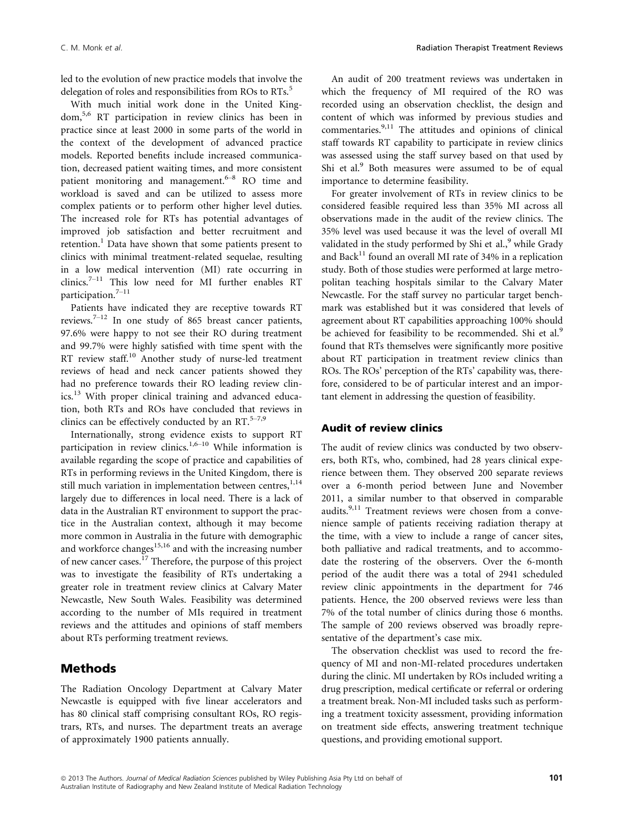led to the evolution of new practice models that involve the delegation of roles and responsibilities from ROs to RTs.<sup>5</sup>

With much initial work done in the United Kingdom,5,6 RT participation in review clinics has been in practice since at least 2000 in some parts of the world in the context of the development of advanced practice models. Reported benefits include increased communication, decreased patient waiting times, and more consistent patient monitoring and management. $6-8$  RO time and workload is saved and can be utilized to assess more complex patients or to perform other higher level duties. The increased role for RTs has potential advantages of improved job satisfaction and better recruitment and retention.<sup>1</sup> Data have shown that some patients present to clinics with minimal treatment-related sequelae, resulting in a low medical intervention (MI) rate occurring in clinics.7–<sup>11</sup> This low need for MI further enables RT participation.7–<sup>11</sup>

Patients have indicated they are receptive towards RT reviews.<sup>7–12</sup> In one study of 865 breast cancer patients, 97.6% were happy to not see their RO during treatment and 99.7% were highly satisfied with time spent with the RT review staff.<sup>10</sup> Another study of nurse-led treatment reviews of head and neck cancer patients showed they had no preference towards their RO leading review clinics.<sup>13</sup> With proper clinical training and advanced education, both RTs and ROs have concluded that reviews in clinics can be effectively conducted by an RT. $5-7.9$ 

Internationally, strong evidence exists to support RT participation in review clinics.<sup>1,6–10</sup> While information is available regarding the scope of practice and capabilities of RTs in performing reviews in the United Kingdom, there is still much variation in implementation between centres, $1,14$ largely due to differences in local need. There is a lack of data in the Australian RT environment to support the practice in the Australian context, although it may become more common in Australia in the future with demographic and workforce changes<sup>15,16</sup> and with the increasing number of new cancer cases.<sup>17</sup> Therefore, the purpose of this project was to investigate the feasibility of RTs undertaking a greater role in treatment review clinics at Calvary Mater Newcastle, New South Wales. Feasibility was determined according to the number of MIs required in treatment reviews and the attitudes and opinions of staff members about RTs performing treatment reviews.

## Methods

The Radiation Oncology Department at Calvary Mater Newcastle is equipped with five linear accelerators and has 80 clinical staff comprising consultant ROs, RO registrars, RTs, and nurses. The department treats an average of approximately 1900 patients annually.

An audit of 200 treatment reviews was undertaken in which the frequency of MI required of the RO was recorded using an observation checklist, the design and content of which was informed by previous studies and commentaries.<sup>9,11</sup> The attitudes and opinions of clinical staff towards RT capability to participate in review clinics was assessed using the staff survey based on that used by Shi et al.<sup>9</sup> Both measures were assumed to be of equal importance to determine feasibility.

For greater involvement of RTs in review clinics to be considered feasible required less than 35% MI across all observations made in the audit of the review clinics. The 35% level was used because it was the level of overall MI validated in the study performed by Shi et al., $9$  while Grady and Back $11$  found an overall MI rate of 34% in a replication study. Both of those studies were performed at large metropolitan teaching hospitals similar to the Calvary Mater Newcastle. For the staff survey no particular target benchmark was established but it was considered that levels of agreement about RT capabilities approaching 100% should be achieved for feasibility to be recommended. Shi et al.<sup>9</sup> found that RTs themselves were significantly more positive about RT participation in treatment review clinics than ROs. The ROs' perception of the RTs' capability was, therefore, considered to be of particular interest and an important element in addressing the question of feasibility.

#### Audit of review clinics

The audit of review clinics was conducted by two observers, both RTs, who, combined, had 28 years clinical experience between them. They observed 200 separate reviews over a 6-month period between June and November 2011, a similar number to that observed in comparable audits.<sup>9,11</sup> Treatment reviews were chosen from a convenience sample of patients receiving radiation therapy at the time, with a view to include a range of cancer sites, both palliative and radical treatments, and to accommodate the rostering of the observers. Over the 6-month period of the audit there was a total of 2941 scheduled review clinic appointments in the department for 746 patients. Hence, the 200 observed reviews were less than 7% of the total number of clinics during those 6 months. The sample of 200 reviews observed was broadly representative of the department's case mix.

The observation checklist was used to record the frequency of MI and non-MI-related procedures undertaken during the clinic. MI undertaken by ROs included writing a drug prescription, medical certificate or referral or ordering a treatment break. Non-MI included tasks such as performing a treatment toxicity assessment, providing information on treatment side effects, answering treatment technique questions, and providing emotional support.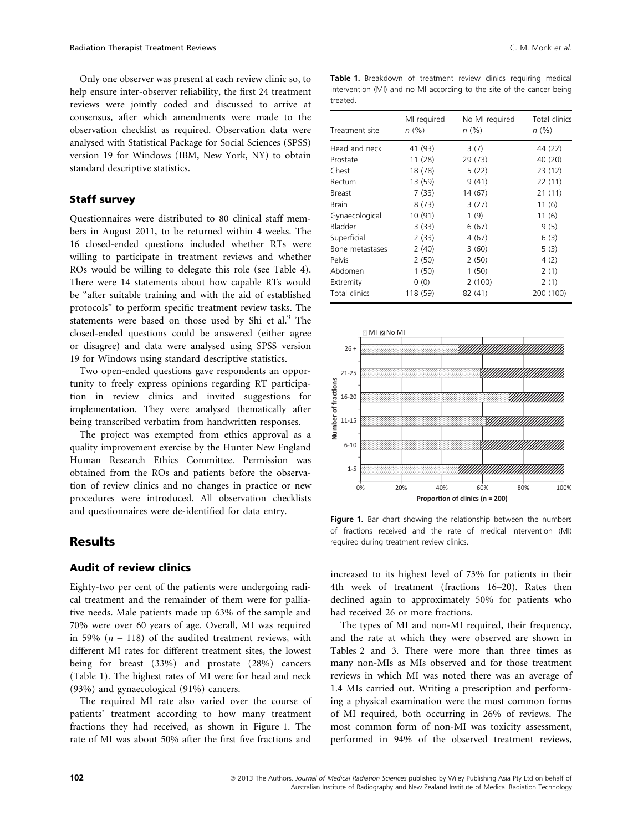Only one observer was present at each review clinic so, to help ensure inter-observer reliability, the first 24 treatment reviews were jointly coded and discussed to arrive at consensus, after which amendments were made to the observation checklist as required. Observation data were analysed with Statistical Package for Social Sciences (SPSS) version 19 for Windows (IBM, New York, NY) to obtain standard descriptive statistics.

#### Staff survey

Questionnaires were distributed to 80 clinical staff members in August 2011, to be returned within 4 weeks. The 16 closed-ended questions included whether RTs were willing to participate in treatment reviews and whether ROs would be willing to delegate this role (see Table 4). There were 14 statements about how capable RTs would be "after suitable training and with the aid of established protocols" to perform specific treatment review tasks. The statements were based on those used by Shi et al.<sup>9</sup> The closed-ended questions could be answered (either agree or disagree) and data were analysed using SPSS version 19 for Windows using standard descriptive statistics.

Two open-ended questions gave respondents an opportunity to freely express opinions regarding RT participation in review clinics and invited suggestions for implementation. They were analysed thematically after being transcribed verbatim from handwritten responses.

The project was exempted from ethics approval as a quality improvement exercise by the Hunter New England Human Research Ethics Committee. Permission was obtained from the ROs and patients before the observation of review clinics and no changes in practice or new procedures were introduced. All observation checklists and questionnaires were de-identified for data entry.

### **Results**

#### Audit of review clinics

Eighty-two per cent of the patients were undergoing radical treatment and the remainder of them were for palliative needs. Male patients made up 63% of the sample and 70% were over 60 years of age. Overall, MI was required in 59% ( $n = 118$ ) of the audited treatment reviews, with different MI rates for different treatment sites, the lowest being for breast (33%) and prostate (28%) cancers (Table 1). The highest rates of MI were for head and neck (93%) and gynaecological (91%) cancers.

The required MI rate also varied over the course of patients' treatment according to how many treatment fractions they had received, as shown in Figure 1. The rate of MI was about 50% after the first five fractions and

Table 1. Breakdown of treatment review clinics requiring medical intervention (MI) and no MI according to the site of the cancer being treated.

| Treatment site  | MI required<br>n(%) | No MI required<br>n (%) | Total clinics<br>n (%) |
|-----------------|---------------------|-------------------------|------------------------|
| Head and neck   | 41 (93)             | 3(7)                    | 44 (22)                |
| Prostate        | 11 (28)             | 29 (73)                 | 40 (20)                |
| Chest           | 18 (78)             | 5(22)                   | 23 (12)                |
| Rectum          | 13 (59)             | 9(41)                   | 22(11)                 |
| <b>Breast</b>   | 7(33)               | 14 (67)                 | 21(11)                 |
| <b>Brain</b>    | 8(73)               | 3(27)                   | 11(6)                  |
| Gynaecological  | 10 (91)             | 1(9)                    | 11 (6)                 |
| Bladder         | 3(33)               | 6(67)                   | 9(5)                   |
| Superficial     | 2(33)               | 4(67)                   | 6(3)                   |
| Bone metastases | 2(40)               | 3(60)                   | 5(3)                   |
| Pelvis          | 2(50)               | 2(50)                   | 4(2)                   |
| Abdomen         | 1(50)               | 1(50)                   | 2(1)                   |
| Extremity       | 0(0)                | 2(100)                  | 2(1)                   |
| Total clinics   | 118 (59)            | 82 (41)                 | 200 (100)              |



Figure 1. Bar chart showing the relationship between the numbers of fractions received and the rate of medical intervention (MI) required during treatment review clinics.

increased to its highest level of 73% for patients in their 4th week of treatment (fractions 16–20). Rates then declined again to approximately 50% for patients who had received 26 or more fractions.

The types of MI and non-MI required, their frequency, and the rate at which they were observed are shown in Tables 2 and 3. There were more than three times as many non-MIs as MIs observed and for those treatment reviews in which MI was noted there was an average of 1.4 MIs carried out. Writing a prescription and performing a physical examination were the most common forms of MI required, both occurring in 26% of reviews. The most common form of non-MI was toxicity assessment, performed in 94% of the observed treatment reviews,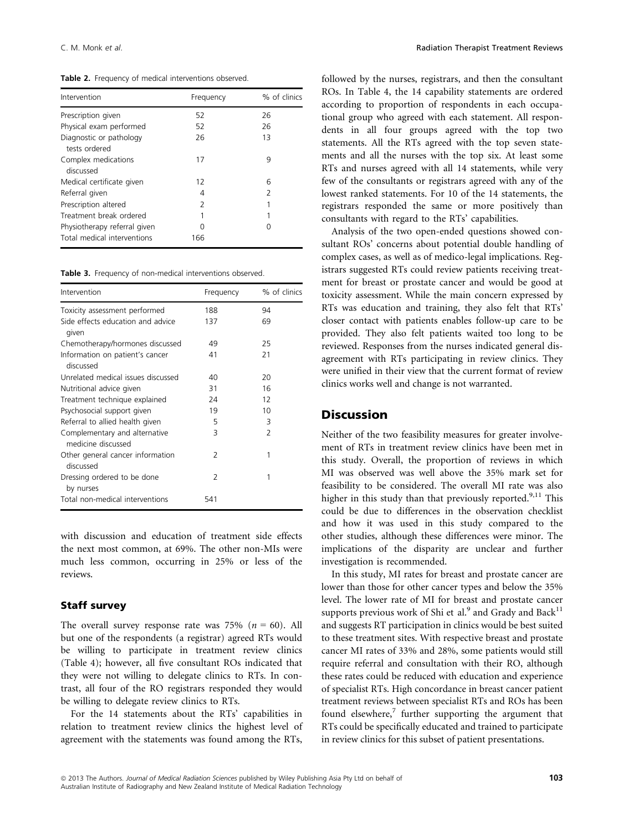Table 2. Frequency of medical interventions observed.

| Intervention                                                | Frequency | % of clinics             |
|-------------------------------------------------------------|-----------|--------------------------|
| Prescription given                                          | 52        | 26                       |
| Physical exam performed                                     | 52        | 26                       |
| Diagnostic or pathology<br>tests ordered                    | 26        | 13                       |
| Complex medications<br>discussed                            | 17        | 9                        |
| Medical certificate given                                   | 12        | 6                        |
| Referral given                                              | 4         | $\overline{\phantom{0}}$ |
| Prescription altered                                        | 2         | 1                        |
| Treatment break ordered                                     | 1         | 1                        |
| Physiotherapy referral given<br>Total medical interventions | ∩<br>166  | Ω                        |

Table 3. Frequency of non-medical interventions observed.

| Intervention                                        | Frequency     | % of clinics   |
|-----------------------------------------------------|---------------|----------------|
| Toxicity assessment performed                       | 188           | 94             |
| Side effects education and advice<br>given          | 137           | 69             |
| Chemotherapy/hormones discussed                     | 49            | 25             |
| Information on patient's cancer<br>discussed        | 41            | 21             |
| Unrelated medical issues discussed                  | 40            | 20             |
| Nutritional advice given                            | 31            | 16             |
| Treatment technique explained                       | 24            | 12             |
| Psychosocial support given                          | 19            | 10             |
| Referral to allied health given                     | 5             | 3              |
| Complementary and alternative<br>medicine discussed | 3             | $\overline{2}$ |
| Other general cancer information<br>discussed       | $\mathcal{P}$ | 1              |
| Dressing ordered to be done<br>by nurses            | $\mathcal{L}$ | 1              |
| Total non-medical interventions                     | 541           |                |

with discussion and education of treatment side effects the next most common, at 69%. The other non-MIs were much less common, occurring in 25% or less of the reviews.

#### Staff survey

The overall survey response rate was 75% ( $n = 60$ ). All but one of the respondents (a registrar) agreed RTs would be willing to participate in treatment review clinics (Table 4); however, all five consultant ROs indicated that they were not willing to delegate clinics to RTs. In contrast, all four of the RO registrars responded they would be willing to delegate review clinics to RTs.

For the 14 statements about the RTs' capabilities in relation to treatment review clinics the highest level of agreement with the statements was found among the RTs, followed by the nurses, registrars, and then the consultant ROs. In Table 4, the 14 capability statements are ordered according to proportion of respondents in each occupational group who agreed with each statement. All respondents in all four groups agreed with the top two statements. All the RTs agreed with the top seven statements and all the nurses with the top six. At least some RTs and nurses agreed with all 14 statements, while very few of the consultants or registrars agreed with any of the lowest ranked statements. For 10 of the 14 statements, the registrars responded the same or more positively than consultants with regard to the RTs' capabilities.

Analysis of the two open-ended questions showed consultant ROs' concerns about potential double handling of complex cases, as well as of medico-legal implications. Registrars suggested RTs could review patients receiving treatment for breast or prostate cancer and would be good at toxicity assessment. While the main concern expressed by RTs was education and training, they also felt that RTs' closer contact with patients enables follow-up care to be provided. They also felt patients waited too long to be reviewed. Responses from the nurses indicated general disagreement with RTs participating in review clinics. They were unified in their view that the current format of review clinics works well and change is not warranted.

## Discussion

Neither of the two feasibility measures for greater involvement of RTs in treatment review clinics have been met in this study. Overall, the proportion of reviews in which MI was observed was well above the 35% mark set for feasibility to be considered. The overall MI rate was also higher in this study than that previously reported.<sup>9,11</sup> This could be due to differences in the observation checklist and how it was used in this study compared to the other studies, although these differences were minor. The implications of the disparity are unclear and further investigation is recommended.

In this study, MI rates for breast and prostate cancer are lower than those for other cancer types and below the 35% level. The lower rate of MI for breast and prostate cancer supports previous work of Shi et al.<sup>9</sup> and Grady and Back<sup>11</sup> and suggests RT participation in clinics would be best suited to these treatment sites. With respective breast and prostate cancer MI rates of 33% and 28%, some patients would still require referral and consultation with their RO, although these rates could be reduced with education and experience of specialist RTs. High concordance in breast cancer patient treatment reviews between specialist RTs and ROs has been found elsewhere, $7$  further supporting the argument that RTs could be specifically educated and trained to participate in review clinics for this subset of patient presentations.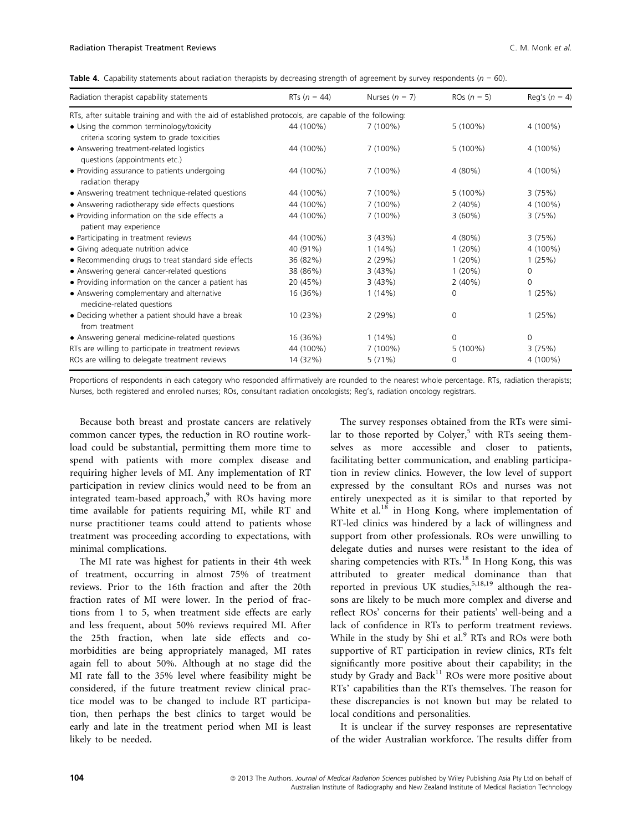Table 4. Capability statements about radiation therapists by decreasing strength of agreement by survey respondents ( $n = 60$ ).

| Radiation therapist capability statements                                                             | RTs ( $n = 44$ ) | Nurses $(n = 7)$ | ROs $(n = 5)$ | Reg's $(n = 4)$ |
|-------------------------------------------------------------------------------------------------------|------------------|------------------|---------------|-----------------|
| RTs, after suitable training and with the aid of established protocols, are capable of the following: |                  |                  |               |                 |
| • Using the common terminology/toxicity<br>criteria scoring system to grade toxicities                | 44 (100%)        | $7(100\%)$       | $5(100\%)$    | 4 (100%)        |
| • Answering treatment-related logistics<br>questions (appointments etc.)                              | 44 (100%)        | $7(100\%)$       | $5(100\%)$    | 4 (100%)        |
| • Providing assurance to patients undergoing<br>radiation therapy                                     | 44 (100%)        | $7(100\%)$       | 4 (80%)       | 4 (100%)        |
| • Answering treatment technique-related questions                                                     | 44 (100%)        | $7(100\%)$       | $5(100\%)$    | 3(75%)          |
| • Answering radiotherapy side effects questions                                                       | 44 (100%)        | $7(100\%)$       | 2(40%)        | 4 (100%)        |
| • Providing information on the side effects a<br>patient may experience                               | 44 (100%)        | $7(100\%)$       | 3(60%)        | 3(75%)          |
| • Participating in treatment reviews                                                                  | 44 (100%)        | 3(43%)           | 4 (80%)       | 3(75%)          |
| • Giving adequate nutrition advice                                                                    | 40 (91%)         | 1(14%)           | 1(20%)        | 4 (100%)        |
| • Recommending drugs to treat standard side effects                                                   | 36 (82%)         | 2(29%)           | 1(20%)        | 1(25%)          |
| • Answering general cancer-related questions                                                          | 38 (86%)         | 3(43%)           | 1(20%)        | $\Omega$        |
| • Providing information on the cancer a patient has                                                   | 20 (45%)         | 3(43%)           | 2(40%)        | 0               |
| • Answering complementary and alternative<br>medicine-related questions                               | 16 (36%)         | 1(14%)           | $\mathbf 0$   | 1(25%)          |
| • Deciding whether a patient should have a break<br>from treatment                                    | 10 (23%)         | 2(29%)           | $\mathbf 0$   | 1(25%)          |
| • Answering general medicine-related questions                                                        | 16 (36%)         | $1(14\%)$        | $\Omega$      | $\Omega$        |
| RTs are willing to participate in treatment reviews                                                   | 44 (100%)        | $7(100\%)$       | $5(100\%)$    | 3(75%)          |
| ROs are willing to delegate treatment reviews                                                         | 14 (32%)         | 5(71%)           | 0             | 4 (100%)        |

Proportions of respondents in each category who responded affirmatively are rounded to the nearest whole percentage. RTs, radiation therapists; Nurses, both registered and enrolled nurses; ROs, consultant radiation oncologists; Reg's, radiation oncology registrars.

Because both breast and prostate cancers are relatively common cancer types, the reduction in RO routine workload could be substantial, permitting them more time to spend with patients with more complex disease and requiring higher levels of MI. Any implementation of RT participation in review clinics would need to be from an integrated team-based approach, $9$  with ROs having more time available for patients requiring MI, while RT and nurse practitioner teams could attend to patients whose treatment was proceeding according to expectations, with minimal complications.

The MI rate was highest for patients in their 4th week of treatment, occurring in almost 75% of treatment reviews. Prior to the 16th fraction and after the 20th fraction rates of MI were lower. In the period of fractions from 1 to 5, when treatment side effects are early and less frequent, about 50% reviews required MI. After the 25th fraction, when late side effects and comorbidities are being appropriately managed, MI rates again fell to about 50%. Although at no stage did the MI rate fall to the 35% level where feasibility might be considered, if the future treatment review clinical practice model was to be changed to include RT participation, then perhaps the best clinics to target would be early and late in the treatment period when MI is least likely to be needed.

The survey responses obtained from the RTs were similar to those reported by Colver,<sup>5</sup> with RTs seeing themselves as more accessible and closer to patients, facilitating better communication, and enabling participation in review clinics. However, the low level of support expressed by the consultant ROs and nurses was not entirely unexpected as it is similar to that reported by White et al. $^{18}$  in Hong Kong, where implementation of RT-led clinics was hindered by a lack of willingness and support from other professionals. ROs were unwilling to delegate duties and nurses were resistant to the idea of sharing competencies with RTs.<sup>18</sup> In Hong Kong, this was attributed to greater medical dominance than that reported in previous UK studies,  $5,18,19$  although the reasons are likely to be much more complex and diverse and reflect ROs' concerns for their patients' well-being and a lack of confidence in RTs to perform treatment reviews. While in the study by Shi et al.<sup>9</sup> RTs and ROs were both supportive of RT participation in review clinics, RTs felt significantly more positive about their capability; in the study by Grady and Back<sup>11</sup> ROs were more positive about RTs' capabilities than the RTs themselves. The reason for these discrepancies is not known but may be related to local conditions and personalities.

It is unclear if the survey responses are representative of the wider Australian workforce. The results differ from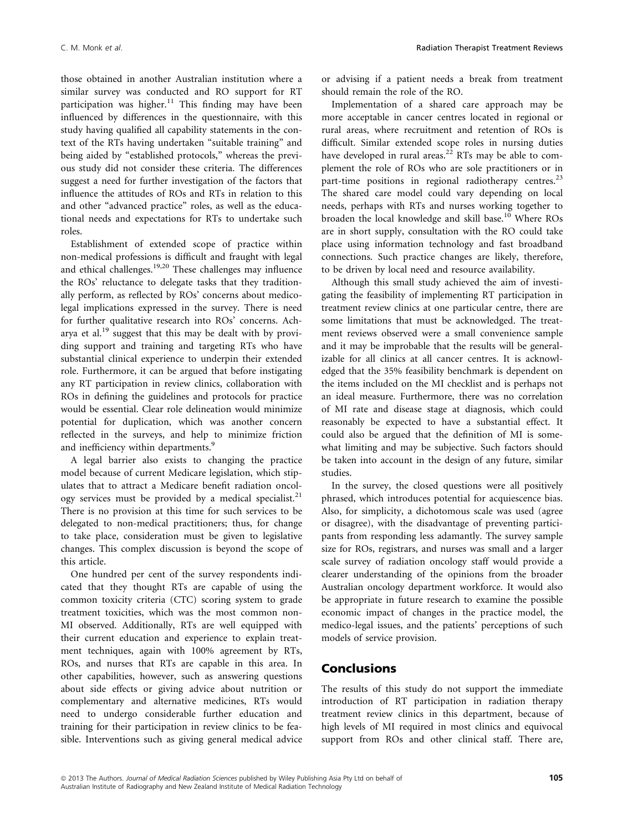those obtained in another Australian institution where a similar survey was conducted and RO support for RT participation was higher.<sup>11</sup> This finding may have been influenced by differences in the questionnaire, with this study having qualified all capability statements in the context of the RTs having undertaken "suitable training" and being aided by "established protocols," whereas the previous study did not consider these criteria. The differences suggest a need for further investigation of the factors that influence the attitudes of ROs and RTs in relation to this and other "advanced practice" roles, as well as the educational needs and expectations for RTs to undertake such roles.

Establishment of extended scope of practice within non-medical professions is difficult and fraught with legal and ethical challenges.19,20 These challenges may influence the ROs' reluctance to delegate tasks that they traditionally perform, as reflected by ROs' concerns about medicolegal implications expressed in the survey. There is need for further qualitative research into ROs' concerns. Acharya et al.19 suggest that this may be dealt with by providing support and training and targeting RTs who have substantial clinical experience to underpin their extended role. Furthermore, it can be argued that before instigating any RT participation in review clinics, collaboration with ROs in defining the guidelines and protocols for practice would be essential. Clear role delineation would minimize potential for duplication, which was another concern reflected in the surveys, and help to minimize friction and inefficiency within departments.<sup>9</sup>

A legal barrier also exists to changing the practice model because of current Medicare legislation, which stipulates that to attract a Medicare benefit radiation oncology services must be provided by a medical specialist.<sup>21</sup> There is no provision at this time for such services to be delegated to non-medical practitioners; thus, for change to take place, consideration must be given to legislative changes. This complex discussion is beyond the scope of this article.

One hundred per cent of the survey respondents indicated that they thought RTs are capable of using the common toxicity criteria (CTC) scoring system to grade treatment toxicities, which was the most common non-MI observed. Additionally, RTs are well equipped with their current education and experience to explain treatment techniques, again with 100% agreement by RTs, ROs, and nurses that RTs are capable in this area. In other capabilities, however, such as answering questions about side effects or giving advice about nutrition or complementary and alternative medicines, RTs would need to undergo considerable further education and training for their participation in review clinics to be feasible. Interventions such as giving general medical advice or advising if a patient needs a break from treatment should remain the role of the RO.

Implementation of a shared care approach may be more acceptable in cancer centres located in regional or rural areas, where recruitment and retention of ROs is difficult. Similar extended scope roles in nursing duties have developed in rural areas.<sup>22</sup> RTs may be able to complement the role of ROs who are sole practitioners or in part-time positions in regional radiotherapy centres.<sup>23</sup> The shared care model could vary depending on local needs, perhaps with RTs and nurses working together to broaden the local knowledge and skill base.<sup>10</sup> Where ROs are in short supply, consultation with the RO could take place using information technology and fast broadband connections. Such practice changes are likely, therefore, to be driven by local need and resource availability.

Although this small study achieved the aim of investigating the feasibility of implementing RT participation in treatment review clinics at one particular centre, there are some limitations that must be acknowledged. The treatment reviews observed were a small convenience sample and it may be improbable that the results will be generalizable for all clinics at all cancer centres. It is acknowledged that the 35% feasibility benchmark is dependent on the items included on the MI checklist and is perhaps not an ideal measure. Furthermore, there was no correlation of MI rate and disease stage at diagnosis, which could reasonably be expected to have a substantial effect. It could also be argued that the definition of MI is somewhat limiting and may be subjective. Such factors should be taken into account in the design of any future, similar studies.

In the survey, the closed questions were all positively phrased, which introduces potential for acquiescence bias. Also, for simplicity, a dichotomous scale was used (agree or disagree), with the disadvantage of preventing participants from responding less adamantly. The survey sample size for ROs, registrars, and nurses was small and a larger scale survey of radiation oncology staff would provide a clearer understanding of the opinions from the broader Australian oncology department workforce. It would also be appropriate in future research to examine the possible economic impact of changes in the practice model, the medico-legal issues, and the patients' perceptions of such models of service provision.

### Conclusions

The results of this study do not support the immediate introduction of RT participation in radiation therapy treatment review clinics in this department, because of high levels of MI required in most clinics and equivocal support from ROs and other clinical staff. There are,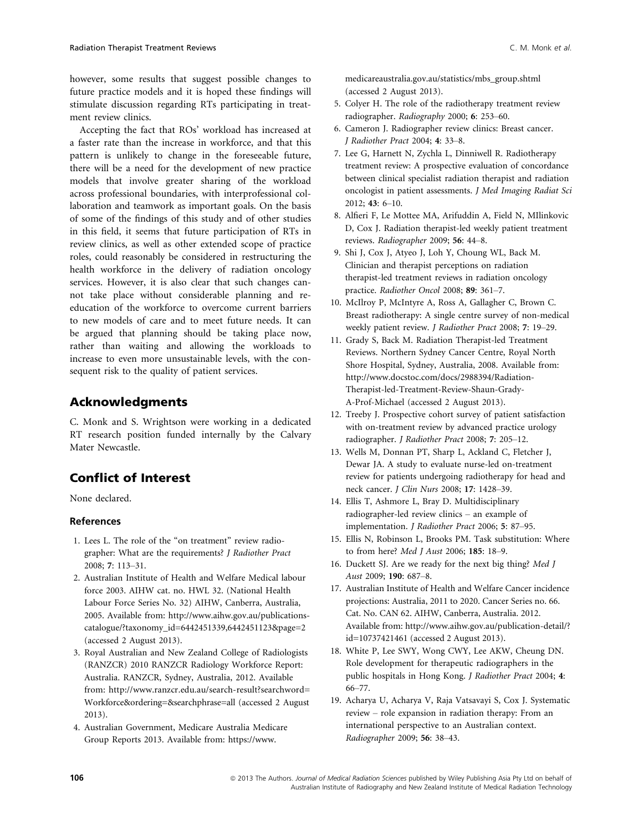however, some results that suggest possible changes to future practice models and it is hoped these findings will stimulate discussion regarding RTs participating in treatment review clinics.

Accepting the fact that ROs' workload has increased at a faster rate than the increase in workforce, and that this pattern is unlikely to change in the foreseeable future, there will be a need for the development of new practice models that involve greater sharing of the workload across professional boundaries, with interprofessional collaboration and teamwork as important goals. On the basis of some of the findings of this study and of other studies in this field, it seems that future participation of RTs in review clinics, as well as other extended scope of practice roles, could reasonably be considered in restructuring the health workforce in the delivery of radiation oncology services. However, it is also clear that such changes cannot take place without considerable planning and reeducation of the workforce to overcome current barriers to new models of care and to meet future needs. It can be argued that planning should be taking place now, rather than waiting and allowing the workloads to increase to even more unsustainable levels, with the consequent risk to the quality of patient services.

# Acknowledgments

C. Monk and S. Wrightson were working in a dedicated RT research position funded internally by the Calvary Mater Newcastle.

# Conflict of Interest

None declared.

### References

- 1. Lees L. The role of the "on treatment" review radiographer: What are the requirements? J Radiother Pract 2008; 7: 113–31.
- 2. Australian Institute of Health and Welfare Medical labour force 2003. AIHW cat. no. HWL 32. (National Health Labour Force Series No. 32) AIHW, Canberra, Australia, 2005. Available from: http://www.aihw.gov.au/publicationscatalogue/?taxonomy\_id=6442451339,6442451123&page=2 (accessed 2 August 2013).
- 3. Royal Australian and New Zealand College of Radiologists (RANZCR) 2010 RANZCR Radiology Workforce Report: Australia. RANZCR, Sydney, Australia, 2012. Available from: http://www.ranzcr.edu.au/search-result?searchword= Workforce&ordering=&searchphrase=all (accessed 2 August 2013).
- 4. Australian Government, Medicare Australia Medicare Group Reports 2013. Available from: https://www.
- 5. Colyer H. The role of the radiotherapy treatment review radiographer. Radiography 2000; 6: 253–60.
- 6. Cameron J. Radiographer review clinics: Breast cancer. J Radiother Pract 2004; 4: 33–8.
- 7. Lee G, Harnett N, Zychla L, Dinniwell R. Radiotherapy treatment review: A prospective evaluation of concordance between clinical specialist radiation therapist and radiation oncologist in patient assessments. J Med Imaging Radiat Sci 2012; 43: 6–10.
- 8. Alfieri F, Le Mottee MA, Arifuddin A, Field N, MIlinkovic D, Cox J. Radiation therapist-led weekly patient treatment reviews. Radiographer 2009; 56: 44–8.
- 9. Shi J, Cox J, Atyeo J, Loh Y, Choung WL, Back M. Clinician and therapist perceptions on radiation therapist-led treatment reviews in radiation oncology practice. Radiother Oncol 2008; 89: 361–7.
- 10. McIlroy P, McIntyre A, Ross A, Gallagher C, Brown C. Breast radiotherapy: A single centre survey of non-medical weekly patient review. J Radiother Pract 2008; 7: 19–29.
- 11. Grady S, Back M. Radiation Therapist-led Treatment Reviews. Northern Sydney Cancer Centre, Royal North Shore Hospital, Sydney, Australia, 2008. Available from: http://www.docstoc.com/docs/2988394/Radiation-Therapist-led-Treatment-Review-Shaun-Grady-A-Prof-Michael (accessed 2 August 2013).
- 12. Treeby J. Prospective cohort survey of patient satisfaction with on-treatment review by advanced practice urology radiographer. J Radiother Pract 2008; 7: 205–12.
- 13. Wells M, Donnan PT, Sharp L, Ackland C, Fletcher J, Dewar JA. A study to evaluate nurse-led on-treatment review for patients undergoing radiotherapy for head and neck cancer. J Clin Nurs 2008; 17: 1428–39.
- 14. Ellis T, Ashmore L, Bray D. Multidisciplinary radiographer-led review clinics – an example of implementation. J Radiother Pract 2006; 5: 87–95.
- 15. Ellis N, Robinson L, Brooks PM. Task substitution: Where to from here? Med J Aust 2006; 185: 18–9.
- 16. Duckett SJ. Are we ready for the next big thing? Med J Aust 2009; 190: 687–8.
- 17. Australian Institute of Health and Welfare Cancer incidence projections: Australia, 2011 to 2020. Cancer Series no. 66. Cat. No. CAN 62. AIHW, Canberra, Australia. 2012. Available from: http://www.aihw.gov.au/publication-detail/? id=10737421461 (accessed 2 August 2013).
- 18. White P, Lee SWY, Wong CWY, Lee AKW, Cheung DN. Role development for therapeutic radiographers in the public hospitals in Hong Kong. J Radiother Pract 2004; 4: 66–77.
- 19. Acharya U, Acharya V, Raja Vatsavayi S, Cox J. Systematic review – role expansion in radiation therapy: From an international perspective to an Australian context. Radiographer 2009; 56: 38–43.